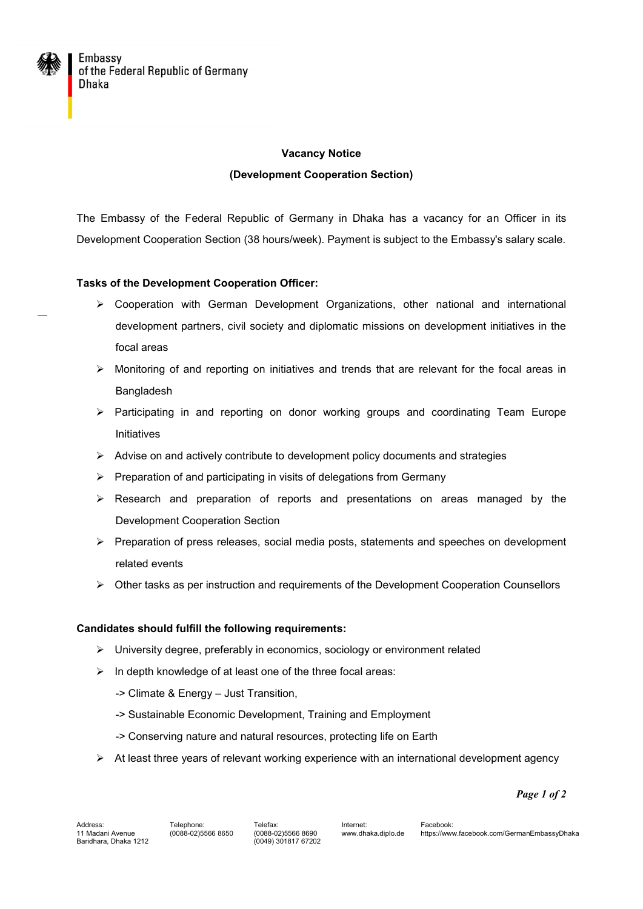

# **Vacancy Notice (Development Cooperation Section)**

The Embassy of the Federal Republic of Germany in Dhaka has a vacancy for an Officer in its Development Cooperation Section (38 hours/week). Payment is subject to the Embassy's salary scale.

## **Tasks of the Development Cooperation Officer:**

- $\triangleright$  Cooperation with German Development Organizations, other national and international development partners, civil society and diplomatic missions on development initiatives in the focal areas
- $\triangleright$  Monitoring of and reporting on initiatives and trends that are relevant for the focal areas in Bangladesh
- $\triangleright$  Participating in and reporting on donor working groups and coordinating Team Europe Initiatives
- $\triangleright$  Advise on and actively contribute to development policy documents and strategies
- $\triangleright$  Preparation of and participating in visits of delegations from Germany
- $\triangleright$  Research and preparation of reports and presentations on areas managed by the Development Cooperation Section
- $\triangleright$  Preparation of press releases, social media posts, statements and speeches on development related events
- $\triangleright$  Other tasks as per instruction and requirements of the Development Cooperation Counsellors

## **Candidates should fulfill the following requirements:**

- University degree, preferably in economics, sociology or environment related
- $\triangleright$  In depth knowledge of at least one of the three focal areas:
	- -> Climate & Energy Just Transition,
	- -> Sustainable Economic Development, Training and Employment
	- -> Conserving nature and natural resources, protecting life on Earth
- $\triangleright$  At least three years of relevant working experience with an international development agency

*Page 1 of 2*